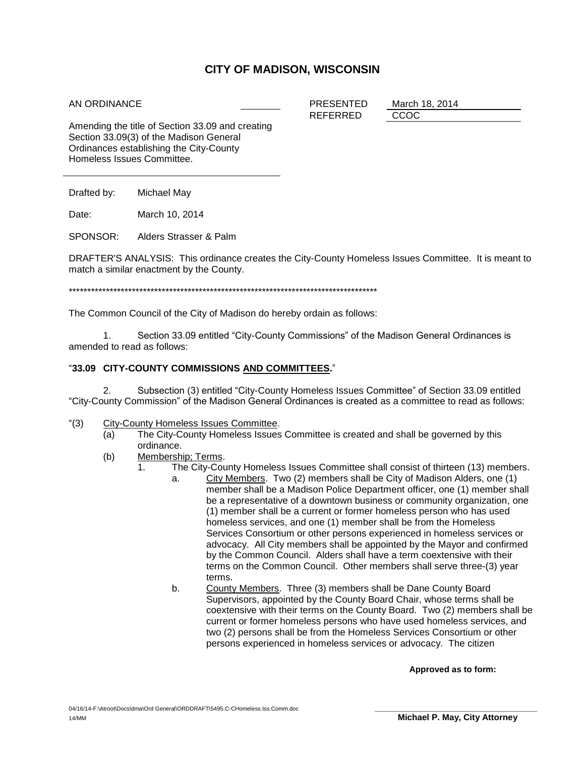## **CITY OF MADISON, WISCONSIN**

## AN ORDINANCE

PRESENTED March 18, 2014 REFERRED CCOC

Amending the title of Section 33.09 and creating Section 33.09(3) of the Madison General Ordinances establishing the City-County Homeless Issues Committee.

Drafted by: Michael May

Date: March 10, 2014

SPONSOR: Alders Strasser & Palm

DRAFTER'S ANALYSIS: This ordinance creates the City-County Homeless Issues Committee. It is meant to match a similar enactment by the County.

\*\*\*\*\*\*\*\*\*\*\*\*\*\*\*\*\*\*\*\*\*\*\*\*\*\*\*\*\*\*\*\*\*\*\*\*\*\*\*\*\*\*\*\*\*\*\*\*\*\*\*\*\*\*\*\*\*\*\*\*\*\*\*\*\*\*\*\*\*\*\*\*\*\*\*\*\*\*\*\*\*\*\*

The Common Council of the City of Madison do hereby ordain as follows:

1. Section 33.09 entitled "City-County Commissions" of the Madison General Ordinances is amended to read as follows:

## "**33.09 CITY-COUNTY COMMISSIONS AND COMMITTEES.**"

2. Subsection (3) entitled "City-County Homeless Issues Committee" of Section 33.09 entitled "City-County Commission" of the Madison General Ordinances is created as a committee to read as follows:

- "(3) City-County Homeless Issues Committee.
	- (a) The City-County Homeless Issues Committee is created and shall be governed by this ordinance.
	- (b) Membership; Terms.
		- 1. The City-County Homeless Issues Committee shall consist of thirteen (13) members.
			- a. City Members. Two (2) members shall be City of Madison Alders, one (1) member shall be a Madison Police Department officer, one (1) member shall be a representative of a downtown business or community organization, one (1) member shall be a current or former homeless person who has used homeless services, and one (1) member shall be from the Homeless Services Consortium or other persons experienced in homeless services or advocacy. All City members shall be appointed by the Mayor and confirmed by the Common Council. Alders shall have a term coextensive with their terms on the Common Council. Other members shall serve three-(3) year terms.
			- b. County Members. Three (3) members shall be Dane County Board Supervisors, appointed by the County Board Chair, whose terms shall be coextensive with their terms on the County Board. Two (2) members shall be current or former homeless persons who have used homeless services, and two (2) persons shall be from the Homeless Services Consortium or other persons experienced in homeless services or advocacy. The citizen

**Approved as to form:**